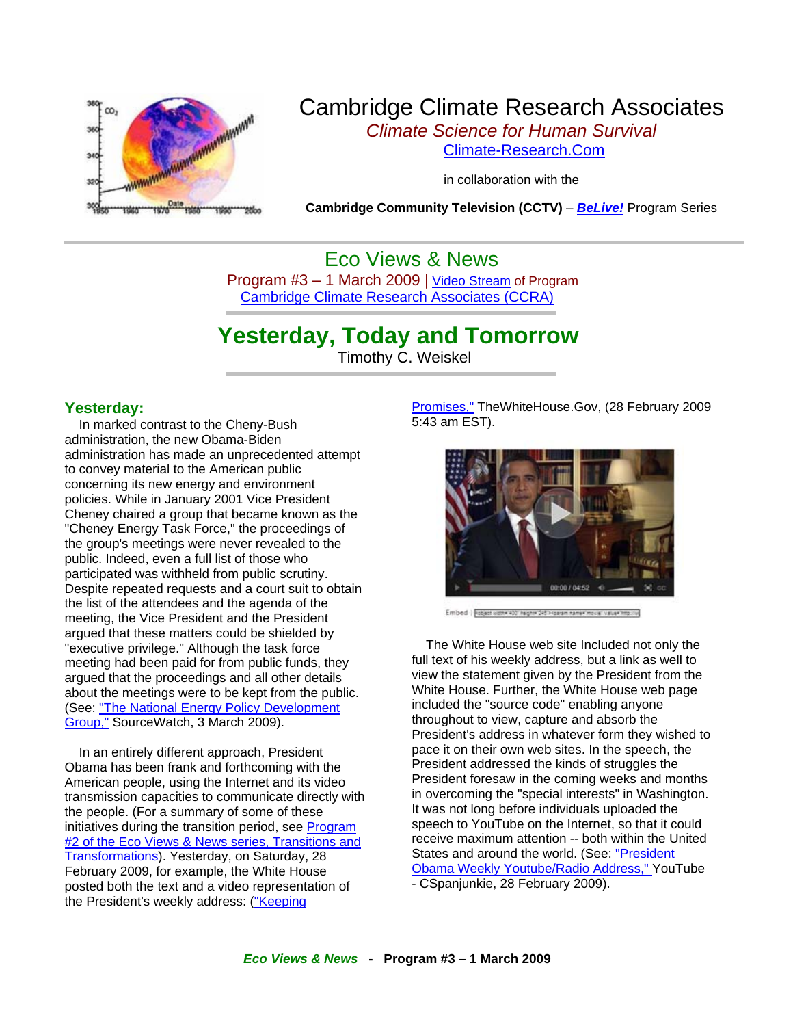

# Cambridge Climate Research Associates

*Climate Science for Human Survival* [Climate-Research.Com](http://climate-research.com/)

in collaboration with the

**Cambridge Community Television (CCTV)** – *[BeLive!](http://www.cctvcambridge.org/ccra/)* Program Series

Eco Views & News<br>Program #3 – 1 March 2009 | Video Stream of Program [Cambridge Climate Research Associates \(CCRA\)](http://climate-research.com/)

## **Yesterday, Today and Tomorrow**

j

j

Timothy C. Weiskel

### **Yesterday:**

j

In marked contrast to the Cheny-Bush administration, the new Obama-Biden administration has made an unprecedented attempt to convey material to the American public concerning its new energy and environment policies. While in January 2001 Vice President Cheney chaired a group that became known as the "Cheney Energy Task Force," the proceedings of the group's meetings were never revealed to the public. Indeed, even a full list of those who participated was withheld from public scrutiny. Despite repeated requests and a [court suit to obtain](http://www.whitehouse.gov/blog/09/02/28/Keeping-Promises/)  the list of the attendees and the agenda of the meeting, the Vice President and the President argued that these matters could be shielded by "executive privilege." Although the task force meeting had been paid for from public funds, they argued that the proceedings and all other details about the meetings were to be kept from the public. (See: ["The National Energy Policy Development](http://www.sourcewatch.org/index.php?title=Cheney_Energy_Task_Force)  [Group,"](http://www.sourcewatch.org/index.php?title=Cheney_Energy_Task_Force) SourceWatch, 3 March 2009).

 In an entirely different approach, President Obama has been frank and forthcoming with the American people, using the Internet and its video transmission capacities to communicate directly with the people. (For a summary of some of these initiatives during the transition period, see [Program](http://www.climate-talks.net/2006-ENVRE130/CCTV-Programs/20090223-02-EV&N/20090223-EVN-Program-02-Transitions-Transformations.htm)  [#2 of the Eco Views & News series, Transitions and](http://www.climate-talks.net/2006-ENVRE130/CCTV-Programs/20090223-02-EV&N/20090223-EVN-Program-02-Transitions-Transformations.htm) [Transformations](http://www.climate-talks.net/2006-ENVRE130/CCTV-Programs/20090223-02-EV&N/20090223-EVN-Program-02-Transitions-Transformations.htm)). Yesterday, on Saturday, 28 February 2009, for example, the White House posted both the text and a video representation of the President's weekly address: ("Keeping

Promises," TheWhiteHouse.Gov, (28 February 2009 5:43 am EST).



Embed | Robect with #400" height #2450 rearges name

 The White House web site Included not only the full text of his weekly address, but a link as well to view the statement given by the President from the White House. Further, the White House web page included the "source code" enabling anyone throughout to view, capture and absorb the President's address in whatever form they wished to pace it on their own web sites. In the speech, the President addressed the kinds of struggles the President foresaw in the coming weeks and months in overcoming the "special interests" in Washington. It was not long before individuals uploaded the speech to YouTube on the Internet, so that it could receive maximum attention -- both within the United States and around the world. (See: "President [Obama Weekly Youtube/Radio Address," Y](http://www.youtube.com/watch?v=8KWqBd5DDR8)ouTube - CSpanjunkie, 28 February 2009).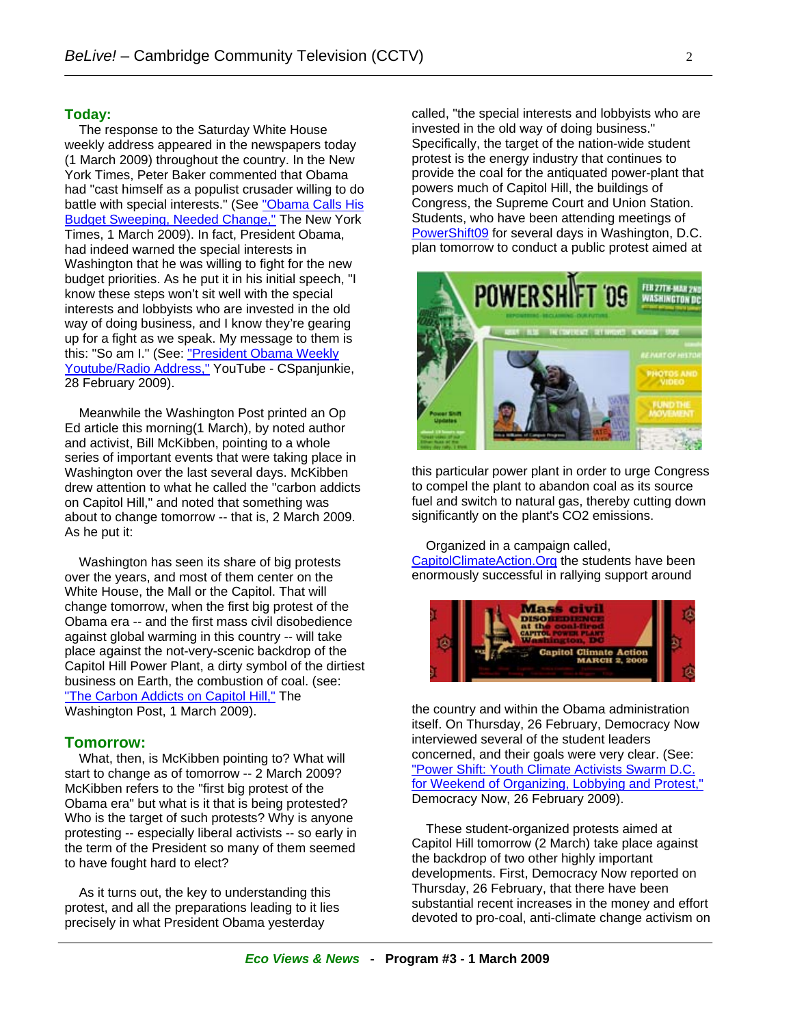#### **Today:**

j

 The response to the Saturday White House weekly address appeared in the newspapers today (1 March 2009) throughout the country. In the New York Times, Peter Baker commented that Obama had "cast himself as a populist crusader willing to do battle with special interests." (See "Obama Calls His [Budget Sweeping, Needed Change,"](http://www.nytimes.com/2009/03/01/us/politics/01address.html) The New York Times, 1 March 2009). In fact, President Obama, had indeed warned the special interests in Washington that he was willing to fight for the new budget priorities. As he put it in his initial speech, "I know these steps won't sit well with the special interests and lobbyists who are invested in the old way of doing business, and I know they're gearing up for a fight as we speak. My message to them is this: "So am I." (See: ["President Obama Weekly](http://www.youtube.com/watch?v=8KWqBd5DDR8)  [Youtube/Radio Address,"](http://www.youtube.com/watch?v=8KWqBd5DDR8) YouTube - CSpanjunkie, 28 February 2009).

 Meanwhile the Washington Post printed an Op Ed article this morning(1 March), by noted author and activist, Bill McKibben, pointing to a whole series of important events that were taking place in Washington over the last several days. McKibben drew attention to what he called the "carbon addicts on Capitol Hill," and noted that something was about to change tomorrow -- that is, 2 March 2009. As he put it:

 Washington has seen its share of big protests over the years, and most of them center on the White House, the Mall or the Capitol. That will change tomorrow, when the first big protest of the Obama era -- and the first mass civil disobedience against global warming in this country -- will take place against the not-very-scenic backdrop of the Capitol Hill Power Plant, a dirty symbol of the dirtiest business on Earth, the combustion of coal. (see: ["The Carbon Addicts on Capitol Hill,"](http://www.washingtonpost.com/wp-dyn/content/article/2009/02/28/AR2009022801667_pf.html) The Washington Post, 1 March 2009).

#### **Tomorrow:**

 What, then, is McKibben pointing to? What will start to change as of tomorrow -- 2 March 2009? McKibben refers to the "first big protest of the Obama era" but what is it that is being protested? Who is the target of such protests? Why is anyone protesting -- especially liberal activists -- so early in the term of the President so many of them seemed to have fought hard to elect?

 As it turns out, the key to understanding this protest, and all the preparations leading to it lies precisely in what President Obama yesterday

c[alled, "the special interests and lobbyists who are](http://www.whitehouse.gov/blog/09/02/28/Keeping-Promises/) invested in the old way of doing business." Specifically, the target of the nation-wide student protest is the energy industry that continues to provide the coal for the antiquated power-plant that powers much of Capitol Hill, the buildings of Congress, the Supreme Court and Union Station. Students, who have been attending meetings of [PowerShift09](http://www.powershift09.org/) for several days in Washington, D.C. plan tomorrow to conduct a public protest aimed at



this particular power plant in order to urge Congress to compel the plant to abandon coal as its source fuel and switch to natural gas, thereby cutting down significantly on the plant's CO2 emissions.

 Organized in a campaign called, [CapitolClimateAction.Org](http://www.capitolclimateaction.org/) the students have been enormously successful in rallying support around



the country and within the Obama administration itself. On Thursday, 26 February, Democracy Now interviewed several of the student leaders concerned, and their goals were very clear. (See: ["Power Shift: Youth Climate Activists Swarm D.C.](http://www.climate-talks.net/2008-ENVRE130/Video/20090226-YouTube-dn-Youth-Group-Protest.htm)  [for Weekend of Organizing, Lobbying and Protest,"](http://www.climate-talks.net/2008-ENVRE130/Video/20090226-YouTube-dn-Youth-Group-Protest.htm) Democracy Now, 26 February 2009).

 These student-organized protests aimed at Capitol Hill tomorrow (2 March) take place against the backdrop of two other highly important developments. First, Democracy Now reported on Thursday, 26 February, that there have been substantial recent increases in the money and effort devoted to pro-coal, anti-climate change activism on